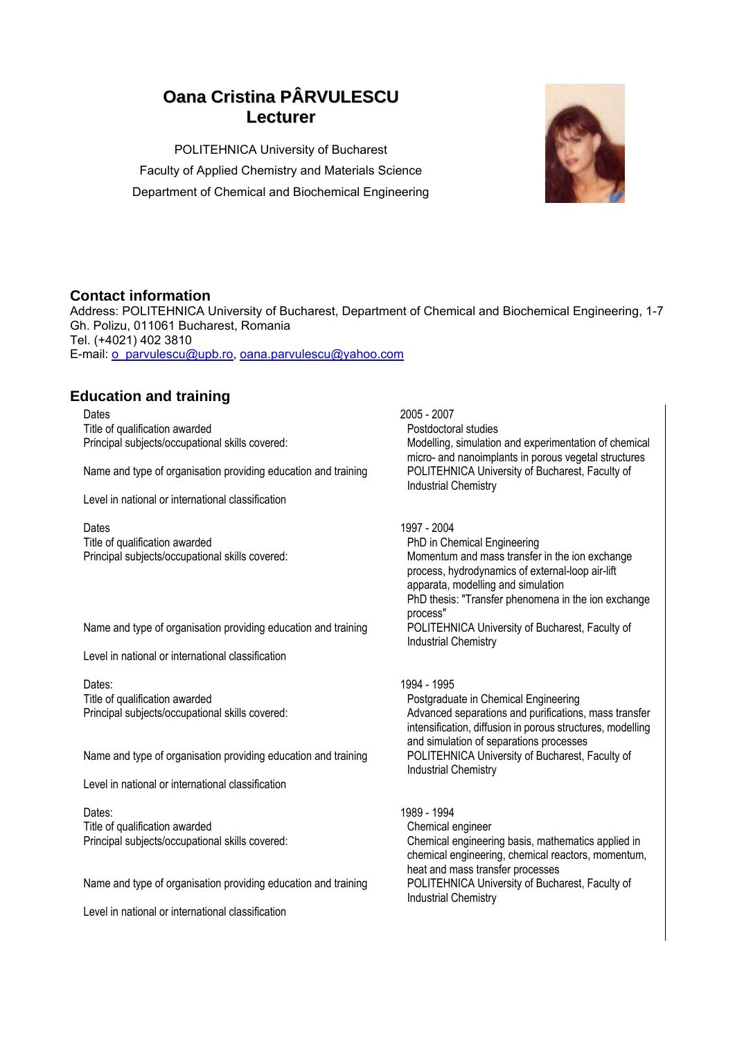# **Oana Cristina PÂRVULESCU Lecturer**

POLITEHNICA University of Bucharest Faculty of Applied Chemistry and Materials Science Department of Chemical and Biochemical Engineering



### **Contact information**

Address: POLITEHNICA University of Bucharest, Department of Chemical and Biochemical Engineering, 1-7 Gh. Polizu, 011061 Bucharest, Romania Tel. (+4021) 402 3810 E-mail: [o\\_parvulescu@upb.ro,](mailto:o_parvulescu@upb.ro) [oana.parvulescu@yahoo.com](mailto:oana.parvulescu@yahoo.com)

### **Education and training**

Dates 2005 - 2007 Title of qualification awarded **Postock and Contact Contact According Contact Postdoctoral studies** 

Name and type of organisation providing education and training POLITEHNICA University of Bucharest, Faculty of

Level in national or international classification

Dates 1997 - 2004 Title of qualification awarded **PhD** in Chemical Engineering

Name and type of organisation providing education and training

Level in national or international classification

Dates: 1994 - 1995 Title of qualification awarded **Postgraduate in Chemical Engineering** Postgraduate in Chemical Engineering

Name and type of organisation providing education and training POLITEHNICA University of Bucharest, Faculty of

Level in national or international classification

Dates: 1989 - 1994 Title of qualification awarded Chemical engineer

Name and type of organisation providing education and training POLITEHNICA University of Bucharest, Faculty of

Level in national or international classification

Principal subjects/occupational skills covered: Modelling, simulation and experimentation of chemical micro- and nanoimplants in porous vegetal structures Industrial Chemistry

Principal subjects/occupational skills covered: Momentum and mass transfer in the ion exchange process, hydrodynamics of external-loop air-lift apparata, modelling and simulation PhD thesis: "Transfer phenomena in the ion exchange process"<br>POLITEHNICA University of Bucharest, Faculty of Industrial Chemistry

Principal subjects/occupational skills covered: Advanced separations and purifications, mass transfer intensification, diffusion in porous structures, modelling and simulation of separations processes Industrial Chemistry

Principal subjects/occupational skills covered: Chemical engineering basis, mathematics applied in chemical engineering, chemical reactors, momentum, heat and mass transfer processes Industrial Chemistry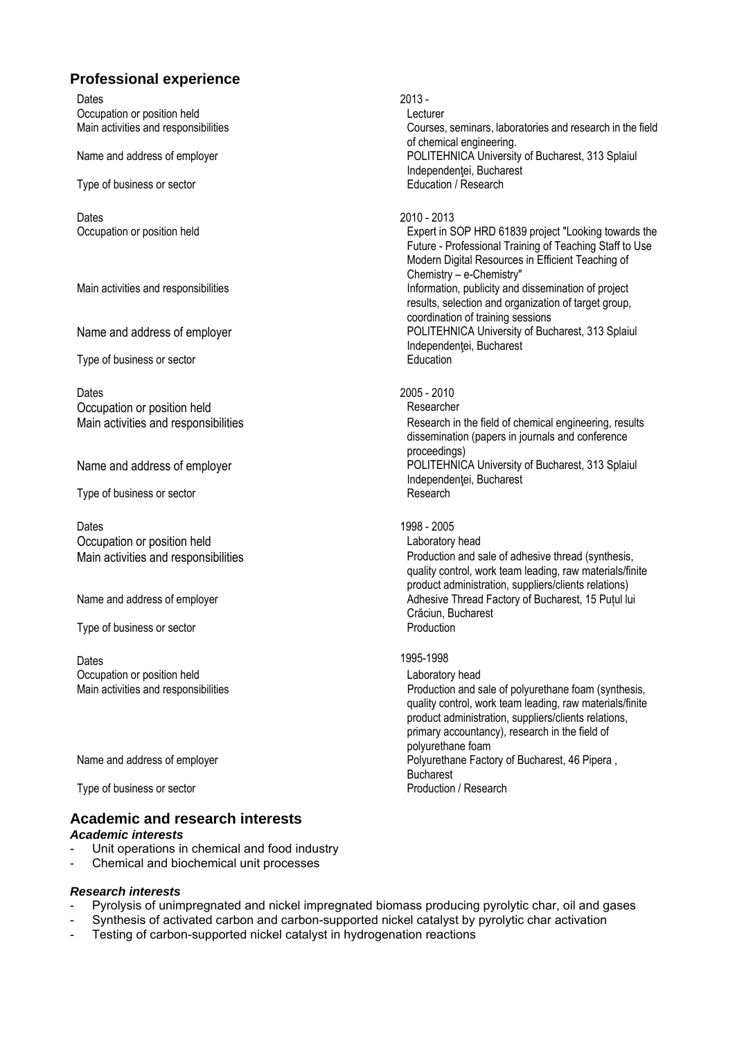## **Professional experience**

Dates 2013 - 2013 - 2013 - 2013 - 2013 - 2013 - 2013 - 2013 - 2013 - 2013 - 2013 - 2013 - 2013 - 201 Occupation or position held **Lecturer** 

Type of business or sector

Dates 2010 - 2013

Type of business or sector **Education** 

Dates 2005 - 2010 Occupation or position held Researcher

Type of business or sector

Dates 2005 Occupation or position held **Laboratory head** 

Type of business or sector

Dates **1995-1998** Occupation or position held **Laboratory head** Laboratory head

Type of business or sector

#### **Academic and research interests**  *Academic interests*

- Unit operations in chemical and food industry
- Chemical and biochemical unit processes

#### *Research interests*

- Pyrolysis of unimpregnated and nickel impregnated biomass producing pyrolytic char, oil and gases
- Synthesis of activated carbon and carbon-supported nickel catalyst by pyrolytic char activation
- Testing of carbon-supported nickel catalyst in hydrogenation reactions

Main activities and responsibilities Courses, seminars, laboratories and research in the field of chemical engineering. Name and address of employer **Name and address of employer** POLITEHNICA University of Bucharest, 313 Splaiul Independenței, Bucharest<br>Education / Research

Occupation or position held **Expert** in SOP HRD 61839 project "Looking towards the Future - Professional Training of Teaching Staff to Use Modern Digital Resources in Efficient Teaching of Chemistry – e-Chemistry" Main activities and responsibilities **Information**, publicity and dissemination of project results, selection and organization of target group, coordination of training sessions Name and address of employer **POLITEHNICA University of Bucharest**, 313 Splaiul Independentei, Bucharest

Main activities and responsibilities **Research** in the field of chemical engineering, results dissemination (papers in journals and conference proceedings) Name and address of employer **Name and address of employer** POLITEHNICA University of Bucharest, 313 Splaiul Independenţei, Bucharest<br>Research

Main activities and responsibilities **National State of a set of a set of a** Production and sale of adhesive thread (synthesis, quality control, work team leading, raw materials/finite product administration, suppliers/clients relations) Name and address of employer Adhesive Thread Factory of Bucharest, 15 Putul lui Crăciun, Bucharest<br>Production

Main activities and responsibilities **Production and sale of polyurethane foam (synthesis,**  $P$ roduction and sale of polyurethane foam (synthesis, quality control, work team leading, raw materials/finite product administration, suppliers/clients relations, primary accountancy), research in the field of polyurethane foam Name and address of employer **Provident Contract Contract Polyurethane Factory of Bucharest, 46 Pipera** , **Bucharest**<br>**Production / Research**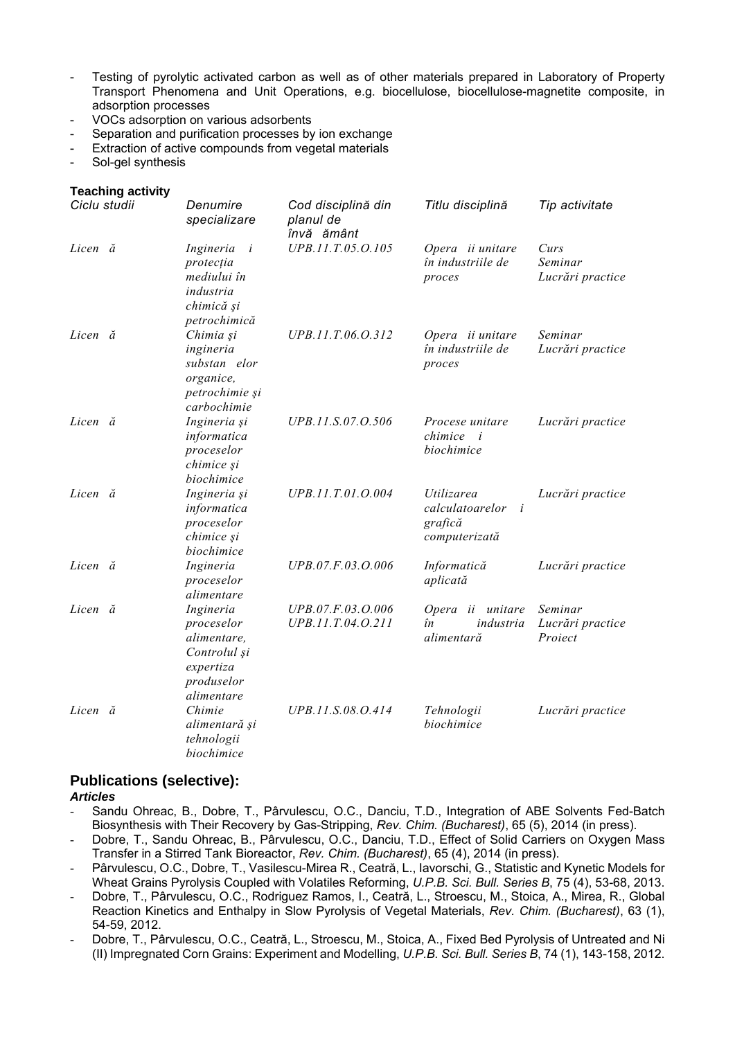- Testing of pyrolytic activated carbon as well as of other materials prepared in Laboratory of Property Transport Phenomena and Unit Operations, e.g. biocellulose, biocellulose-magnetite composite, in adsorption processes
- VOCs adsorption on various adsorbents
- Separation and purification processes by ion exchange
- Extraction of active compounds from vegetal materials
- Sol-gel synthesis

#### **Teaching activity**

| Ciclu studii | Denumire<br>specializare                                                                                    | Cod disciplină din<br>planul de<br>învă ământ | Titlu disciplină                                                       | Tip activitate                         |
|--------------|-------------------------------------------------------------------------------------------------------------|-----------------------------------------------|------------------------------------------------------------------------|----------------------------------------|
| Licen ă      | Ingineria<br>$\overline{\mathbf{i}}$<br>protecția<br>mediului în<br>industria<br>chimică și<br>petrochimică | UPB.11.T.05.O.105                             | Opera ii unitare<br>în industriile de<br>proces                        | Curs<br>Seminar<br>Lucrări practice    |
| Licen ă      | Chimia și<br>ingineria<br>substan elor<br>organice,<br>petrochimie și<br>carbochimie                        | UPB.11.T.06.O.312                             | Opera ii unitare<br>în industriile de<br>proces                        | Seminar<br>Lucrări practice            |
| Licen ă      | Ingineria și<br>informatica<br>proceselor<br>chimice și<br>biochimice                                       | UPB.11.S.07.O.506                             | Procese unitare<br>chimice<br>$\overline{i}$<br>biochimice             | Lucrări practice                       |
| Licen ă      | Ingineria și<br>informatica<br>proceselor<br>chimice și<br>biochimice                                       | UPB.11.T.01.O.004                             | Utilizarea<br>calculatoarelor<br>$\dot{i}$<br>grafică<br>computerizată | Lucrări practice                       |
| Licen ă      | Ingineria<br>proceselor<br>alimentare                                                                       | UPB.07.F.03.O.006                             | Informatică<br>aplicată                                                | Lucrări practice                       |
| Licen ă      | Ingineria<br>proceselor<br>alimentare,<br>Controlul și<br>expertiza<br>produselor<br>alimentare             | UPB.07.F.03.O.006<br>UPB.11.T.04.O.211        | Opera ii unitare<br>în<br>industria<br>alimentară                      | Seminar<br>Lucrări practice<br>Proiect |
| Licen ă      | Chimie<br>alimentară și<br>tehnologii<br>biochimice                                                         | UPB.11.S.08.O.414                             | Tehnologii<br>biochimice                                               | Lucrări practice                       |

### **Publications (selective):**

*Articles*

- Sandu Ohreac, B., Dobre, T., Pârvulescu, O.C., Danciu, T.D., Integration of ABE Solvents Fed-Batch Biosynthesis with Their Recovery by Gas-Stripping, *Rev. Chim. (Bucharest)*, 65 (5), 2014 (in press).
- Dobre, T., Sandu Ohreac, B., Pârvulescu, O.C., Danciu, T.D., Effect of Solid Carriers on Oxygen Mass Transfer in a Stirred Tank Bioreactor, *Rev. Chim. (Bucharest)*, 65 (4), 2014 (in press).
- Pârvulescu, O.C., Dobre, T., Vasilescu-Mirea R., Ceatră, L., Iavorschi, G., Statistic and Kynetic Models for Wheat Grains Pyrolysis Coupled with Volatiles Reforming, *U.P.B. Sci. Bull. Series B*, 75 (4), 53-68, 2013.
- Dobre, T., Pârvulescu, O.C., Rodriguez Ramos, I., Ceatră, L., Stroescu, M., Stoica, A., Mirea, R., Global Reaction Kinetics and Enthalpy in Slow Pyrolysis of Vegetal Materials, *Rev. Chim. (Bucharest)*, 63 (1), 54-59, 2012.
- Dobre, T., Pârvulescu, O.C., Ceatră, L., Stroescu, M., Stoica, A., Fixed Bed Pyrolysis of Untreated and Ni (II) Impregnated Corn Grains: Experiment and Modelling, *U.P.B. Sci. Bull. Series B*, 74 (1), 143-158, 2012.